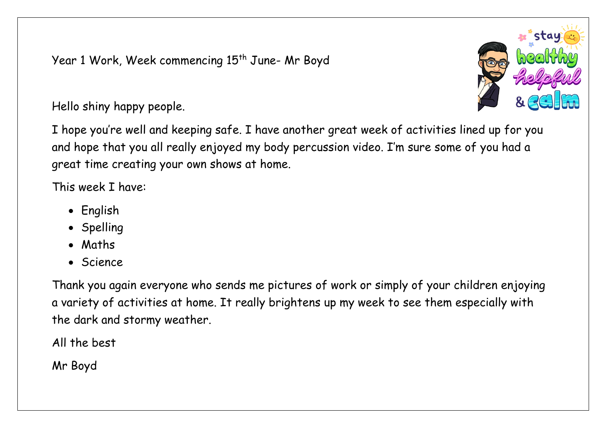Year 1 Work, Week commencing 15<sup>th</sup> June- Mr Boyd



Hello shiny happy people.

I hope you're well and keeping safe. I have another great week of activities lined up for you and hope that you all really enjoyed my body percussion video. I'm sure some of you had a great time creating your own shows at home.

This week I have:

- English
- Spelling
- Maths
- Science

Thank you again everyone who sends me pictures of work or simply of your children enjoying a variety of activities at home. It really brightens up my week to see them especially with the dark and stormy weather.

All the best

Mr Boyd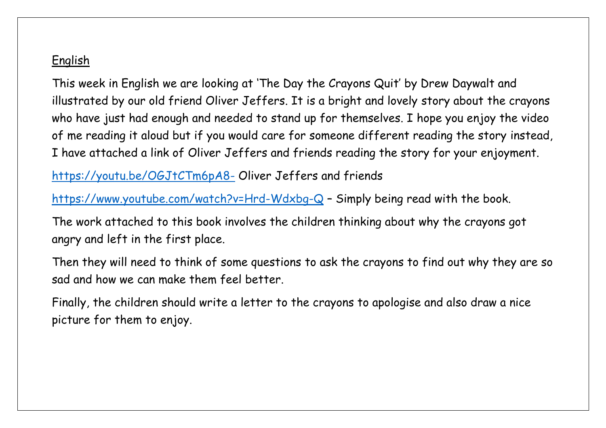## English

This week in English we are looking at 'The Day the Crayons Quit' by Drew Daywalt and illustrated by our old friend Oliver Jeffers. It is a bright and lovely story about the crayons who have just had enough and needed to stand up for themselves. I hope you enjoy the video of me reading it aloud but if you would care for someone different reading the story instead, I have attached a link of Oliver Jeffers and friends reading the story for your enjoyment.

<https://youtu.be/OGJtCTm6pA8-> Oliver Jeffers and friends

<https://www.youtube.com/watch?v=Hrd-Wdxbg-Q> – Simply being read with the book.

The work attached to this book involves the children thinking about why the crayons got angry and left in the first place.

Then they will need to think of some questions to ask the crayons to find out why they are so sad and how we can make them feel better.

Finally, the children should write a letter to the crayons to apologise and also draw a nice picture for them to enjoy.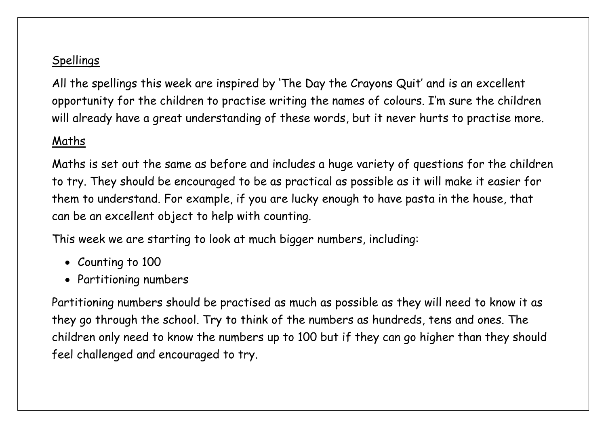### Spellings

All the spellings this week are inspired by 'The Day the Crayons Quit' and is an excellent opportunity for the children to practise writing the names of colours. I'm sure the children will already have a great understanding of these words, but it never hurts to practise more.

#### Maths

Maths is set out the same as before and includes a huge variety of questions for the children to try. They should be encouraged to be as practical as possible as it will make it easier for them to understand. For example, if you are lucky enough to have pasta in the house, that can be an excellent object to help with counting.

This week we are starting to look at much bigger numbers, including:

- Counting to 100
- Partitioning numbers

Partitioning numbers should be practised as much as possible as they will need to know it as they go through the school. Try to think of the numbers as hundreds, tens and ones. The children only need to know the numbers up to 100 but if they can go higher than they should feel challenged and encouraged to try.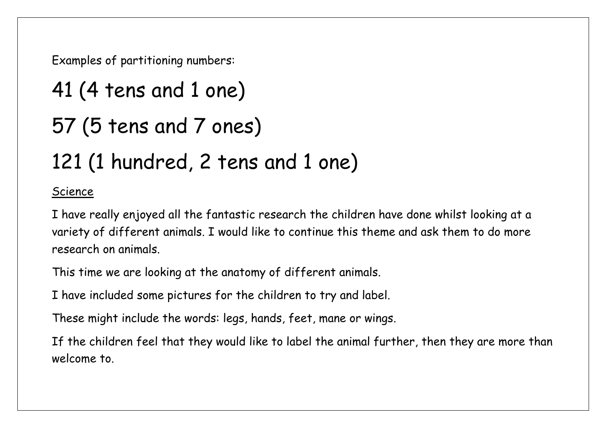Examples of partitioning numbers:

# 41 (4 tens and 1 one) 57 (5 tens and 7 ones) 121 (1 hundred, 2 tens and 1 one)

Science

I have really enjoyed all the fantastic research the children have done whilst looking at a variety of different animals. I would like to continue this theme and ask them to do more research on animals.

This time we are looking at the anatomy of different animals.

I have included some pictures for the children to try and label.

These might include the words: legs, hands, feet, mane or wings.

If the children feel that they would like to label the animal further, then they are more than welcome to.